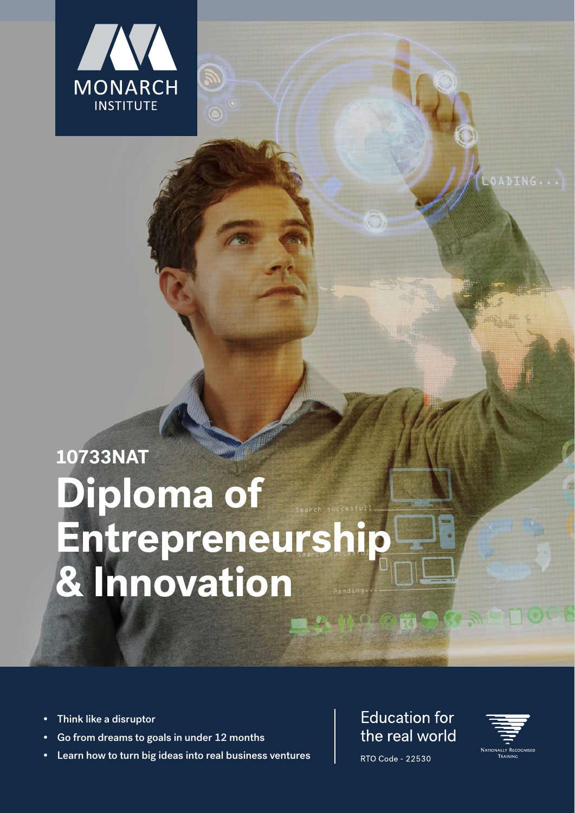

# **10733NAT Diploma of Entrepreneurship & Innovation**

- **•** Think like a disruptor
- **•** Go from dreams to goals in under 12 months
- **•** Learn how to turn big ideas into real business ventures

## **Education for** the real world

MOGH AGAPL



OADING...

RTO Code - 22530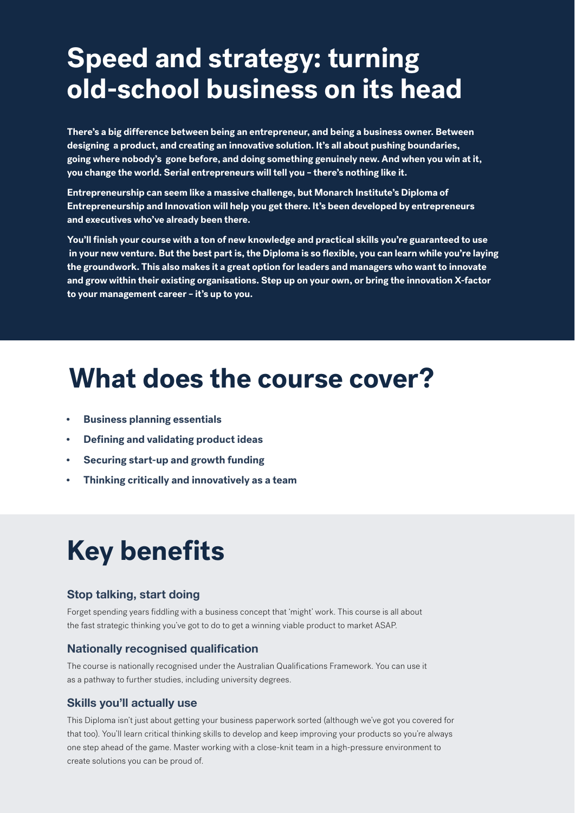## **Speed and strategy: turning old-school business on its head**

**There's a big difference between being an entrepreneur, and being a business owner. Between designing a product, and creating an innovative solution. It's all about pushing boundaries, going where nobody's gone before, and doing something genuinely new. And when you win at it, you change the world. Serial entrepreneurs will tell you – there's nothing like it.**

**Entrepreneurship can seem like a massive challenge, but Monarch Institute's Diploma of Entrepreneurship and Innovation will help you get there. It's been developed by entrepreneurs and executives who've already been there.**

**You'll finish your course with a ton of new knowledge and practical skills you're guaranteed to use in your new venture. But the best part is, the Diploma is so flexible, you can learn while you're laying the groundwork. This also makes it a great option for leaders and managers who want to innovate and grow within their existing organisations. Step up on your own, or bring the innovation X-factor to your management career – it's up to you.**

## **What does the course cover?**

- **• Business planning essentials**
- **• Defining and validating product ideas**
- **• Securing start-up and growth funding**
- **• Thinking critically and innovatively as a team**

## **Key benefits**

#### **Stop talking, start doing**

Forget spending years fiddling with a business concept that 'might' work. This course is all about the fast strategic thinking you've got to do to get a winning viable product to market ASAP.

#### **Nationally recognised qualification**

The course is nationally recognised under the Australian Qualifications Framework. You can use it as a pathway to further studies, including university degrees.

#### **Skills you'll actually use**

This Diploma isn't just about getting your business paperwork sorted (although we've got you covered for that too). You'll learn critical thinking skills to develop and keep improving your products so you're always one step ahead of the game. Master working with a close-knit team in a high-pressure environment to create solutions you can be proud of.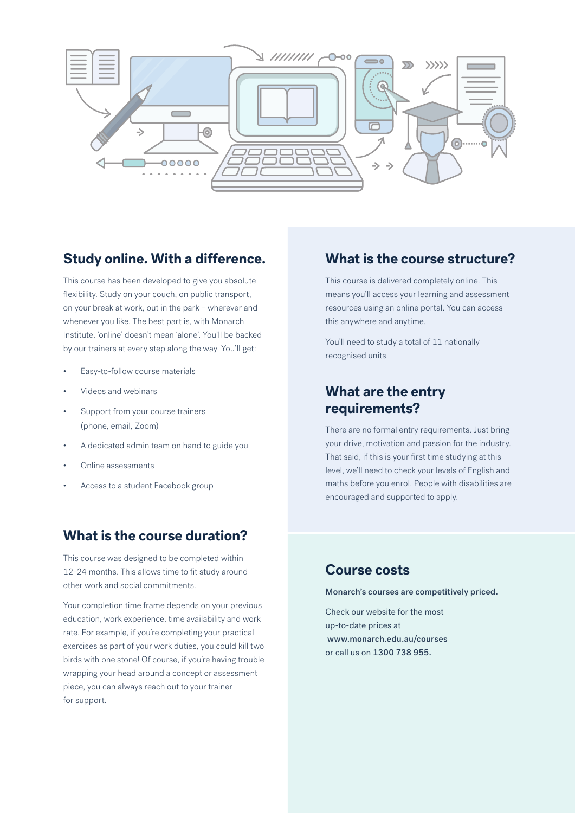

### **Study online. With a difference.**

This course has been developed to give you absolute flexibility. Study on your couch, on public transport, on your break at work, out in the park – wherever and whenever you like. The best part is, with Monarch Institute, 'online' doesn't mean 'alone'. You'll be backed by our trainers at every step along the way. You'll get:

- Easy-to-follow course materials
- Videos and webinars
- Support from your course trainers (phone, email, Zoom)
- A dedicated admin team on hand to guide you
- Online assessments
- Access to a student Facebook group

### **What is the course duration?**

This course was designed to be completed within 12–24 months. This allows time to fit study around other work and social commitments.

Your completion time frame depends on your previous education, work experience, time availability and work rate. For example, if you're completing your practical exercises as part of your work duties, you could kill two birds with one stone! Of course, if you're having trouble wrapping your head around a concept or assessment piece, you can always reach out to your trainer for support.

### **What is the course structure?**

This course is delivered completely online. This means you'll access your learning and assessment resources using an online portal. You can access this anywhere and anytime.

You'll need to study a total of 11 nationally recognised units.

### **What are the entry requirements?**

There are no formal entry requirements. Just bring your drive, motivation and passion for the industry. That said, if this is your first time studying at this level, we'll need to check your levels of English and maths before you enrol. People with disabilities are encouraged and supported to apply.

### **Course costs**

Monarch's courses are competitively priced.

Check our website for the most up-to-date prices at www.monarch.edu.au/courses or call us on 1300 738 955.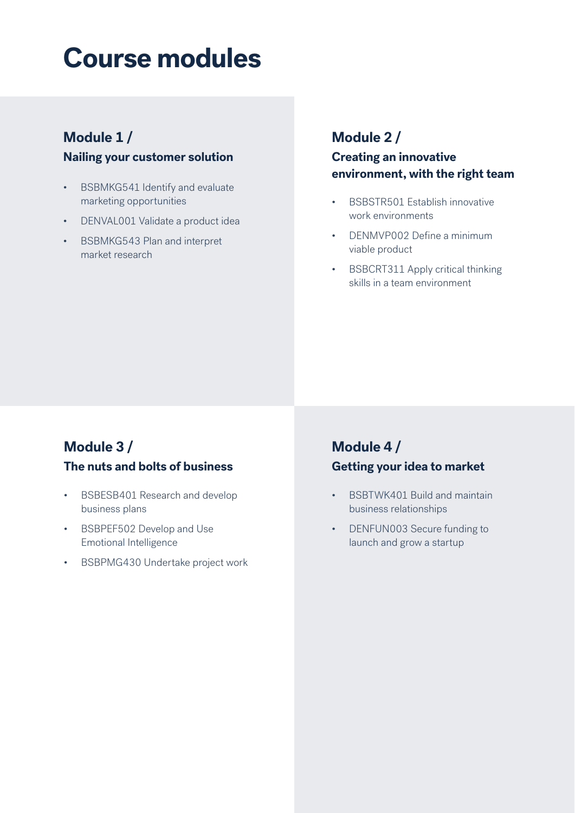## **Course modules**

## **Module 1 /**

#### **Nailing your customer solution**

- BSBMKG541 Identify and evaluate marketing opportunities
- DENVAL001 Validate a product idea
- BSBMKG543 Plan and interpret market research

## **Module 2 /**

### **Creating an innovative environment, with the right team**

- BSBSTR501 Establish innovative work environments
- DENMVP002 Define a minimum viable product
- BSBCRT311 Apply critical thinking skills in a team environment

## **Module 3 /**

### **The nuts and bolts of business**

- BSBESB401 Research and develop business plans
- BSBPEF502 Develop and Use Emotional Intelligence
- BSBPMG430 Undertake project work

## **Module 4 / Getting your idea to market**

- BSBTWK401 Build and maintain business relationships
- DENFUN003 Secure funding to launch and grow a startup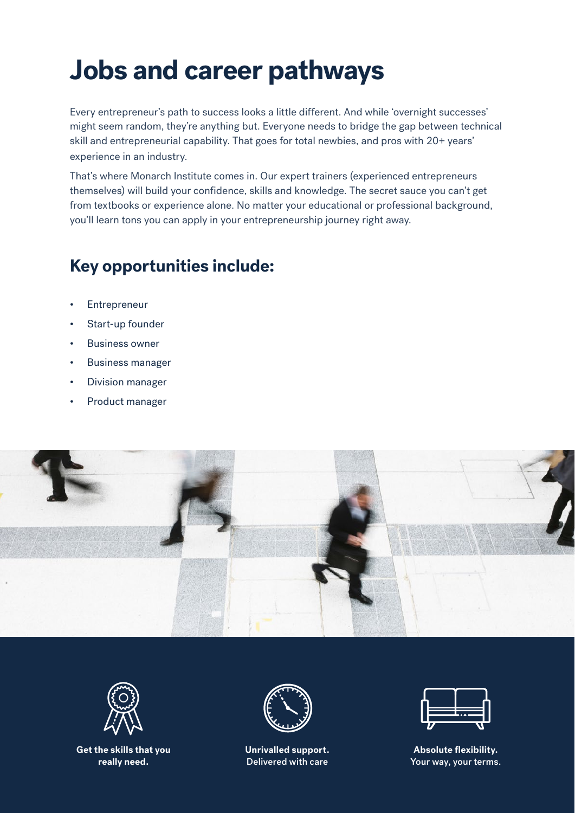## **Jobs and career pathways**

Every entrepreneur's path to success looks a little different. And while 'overnight successes' might seem random, they're anything but. Everyone needs to bridge the gap between technical skill and entrepreneurial capability. That goes for total newbies, and pros with 20+ years' experience in an industry.

That's where Monarch Institute comes in. Our expert trainers (experienced entrepreneurs themselves) will build your confidence, skills and knowledge. The secret sauce you can't get from textbooks or experience alone. No matter your educational or professional background, you'll learn tons you can apply in your entrepreneurship journey right away.

## **Key opportunities include:**

- **Entrepreneur**
- Start-up founder
- Business owner
- Business manager
- Division manager
- Product manager





**Get the skills that you really need.**



**Unrivalled support.**  Delivered with care



**Absolute flexibility.**  Your way, your terms.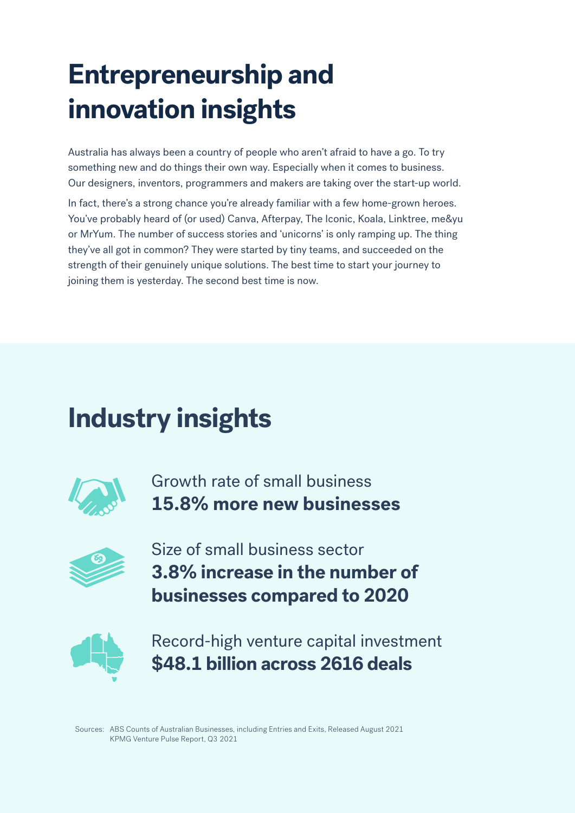## **Entrepreneurship and innovation insights**

Australia has always been a country of people who aren't afraid to have a go. To try something new and do things their own way. Especially when it comes to business. Our designers, inventors, programmers and makers are taking over the start-up world.

In fact, there's a strong chance you're already familiar with a few home-grown heroes. You've probably heard of (or used) Canva, Afterpay, The Iconic, Koala, Linktree, me&yu or MrYum. The number of success stories and 'unicorns' is only ramping up. The thing they've all got in common? They were started by tiny teams, and succeeded on the strength of their genuinely unique solutions. The best time to start your journey to joining them is yesterday. The second best time is now.

## **Industry insights**



Growth rate of small business **15.8% more new businesses**



Size of small business sector **3.8% increase in the number of businesses compared to 2020**



Record-high venture capital investment **\$48.1 billion across 2616 deals**